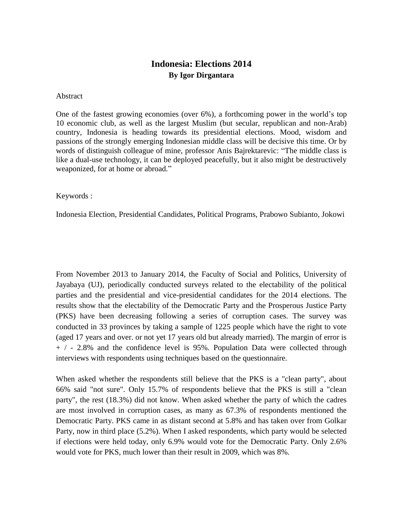# **Indonesia: Elections 2014 By Igor Dirgantara**

#### **Abstract**

One of the fastest growing economies (over 6%), a forthcoming power in the world's top 10 economic club, as well as the largest Muslim (but secular, republican and non-Arab) country, Indonesia is heading towards its presidential elections. Mood, wisdom and passions of the strongly emerging Indonesian middle class will be decisive this time. Or by words of distinguish colleague of mine, professor Anis Bajrektarevic: "The middle class is like a dual-use technology, it can be deployed peacefully, but it also might be destructively weaponized, for at home or abroad."

#### Keywords :

Indonesia Election, Presidential Candidates, Political Programs, Prabowo Subianto, Jokowi

From November 2013 to January 2014, the Faculty of Social and Politics, University of Jayabaya (UJ), periodically conducted surveys related to the electability of the political parties and the presidential and vice-presidential candidates for the 2014 elections. The results show that the electability of the Democratic Party and the Prosperous Justice Party (PKS) have been decreasing following a series of corruption cases. The survey was conducted in 33 provinces by taking a sample of 1225 people which have the right to vote (aged 17 years and over. or not yet 17 years old but already married). The margin of error is + / - 2.8% and the confidence level is 95%. Population Data were collected through interviews with respondents using techniques based on the questionnaire.

When asked whether the respondents still believe that the PKS is a "clean party", about 66% said "not sure". Only 15.7% of respondents believe that the PKS is still a "clean party", the rest (18.3%) did not know. When asked whether the party of which the cadres are most involved in corruption cases, as many as 67.3% of respondents mentioned the Democratic Party. PKS came in as distant second at 5.8% and has taken over from Golkar Party, now in third place (5.2%). When I asked respondents, which party would be selected if elections were held today, only 6.9% would vote for the Democratic Party. Only 2.6% would vote for PKS, much lower than their result in 2009, which was 8%.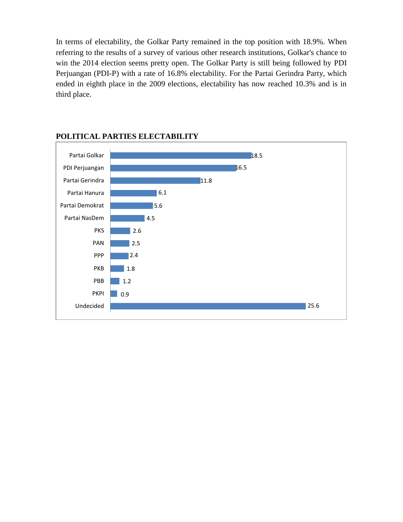In terms of electability, the Golkar Party remained in the top position with 18.9%. When referring to the results of a survey of various other research institutions, Golkar's chance to win the 2014 election seems pretty open. The Golkar Party is still being followed by PDI Perjuangan (PDI-P) with a rate of 16.8% electability. For the Partai Gerindra Party, which ended in eighth place in the 2009 elections, electability has now reached 10.3% and is in third place.



### **POLITICAL PARTIES ELECTABILITY**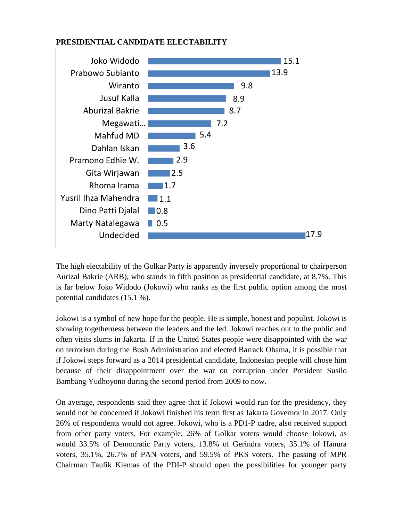

#### **PRESIDENTIAL CANDIDATE ELECTABILITY**

The high electability of the Golkar Party is apparently inversely proportional to chairperson Aurizal Bakrie (ARB), who stands in fifth position as presidential candidate, at 8.7%. This is far below Joko Widodo (Jokowi) who ranks as the first public option among the most potential candidates (15.1 %).

Jokowi is a symbol of new hope for the people. He is simple, honest and populist. Jokowi is showing togetherness between the leaders and the led. Jokowi reaches out to the public and often visits slums in Jakarta. If in the United States people were disappointed with the war on terrorism during the Bush Administration and elected Barrack Obama, it is possible that if Jokowi steps forward as a 2014 presidential candidate, Indonesian people will chose him because of their disappointment over the war on corruption under President Susilo Bambang Yudhoyono during the second period from 2009 to now.

On average, respondents said they agree that if Jokowi would run for the presidency, they would not be concerned if Jokowi finished his term first as Jakarta Governor in 2017. Only 26% of respondents would not agree. Jokowi, who is a PD1-P cadre, also received support from other party voters. For example, 26% of Golkar voters would choose Jokowi, as would 33.5% of Democratic Party voters, 13.8% of Gerindra voters, 35.1% of Hanura voters, 35.1%, 26.7% of PAN voters, and 59.5% of PKS voters. The passing of MPR Chairman Taufik Kiemas of the PDI-P should open the possibilities for younger party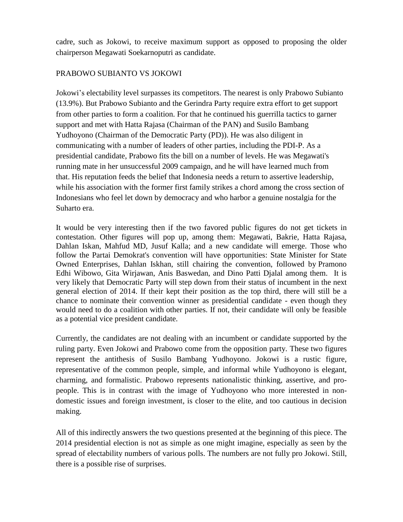cadre, such as Jokowi, to receive maximum support as opposed to proposing the older chairperson Megawati Soekarnoputri as candidate.

#### PRABOWO SUBIANTO VS JOKOWI

Jokowi's electability level surpasses its competitors. The nearest is only Prabowo Subianto (13.9%). But Prabowo Subianto and the Gerindra Party require extra effort to get support from other parties to form a coalition. For that he continued his guerrilla tactics to garner support and met with Hatta Rajasa (Chairman of the PAN) and Susilo Bambang Yudhoyono (Chairman of the Democratic Party (PD)). He was also diligent in communicating with a number of leaders of other parties, including the PDI-P. As a presidential candidate, Prabowo fits the bill on a number of levels. He was Megawati's running mate in her unsuccessful 2009 campaign, and he will have learned much from that. His reputation feeds the belief that Indonesia needs a return to assertive leadership, while his association with the former first family strikes a chord among the cross section of Indonesians who feel let down by democracy and who harbor a genuine nostalgia for the Suharto era.

It would be very interesting then if the two favored public figures do not get tickets in contestation. Other figures will pop up, among them: Megawati, Bakrie, Hatta Rajasa, Dahlan Iskan, Mahfud MD, Jusuf Kalla; and a new candidate will emerge. Those who follow the Partai Demokrat's convention will have opportunities: State Minister for State Owned Enterprises, Dahlan Iskhan, still chairing the convention, followed by Pramono Edhi Wibowo, Gita Wirjawan, Anis Baswedan, and Dino Patti Djalal among them. It is very likely that Democratic Party will step down from their status of incumbent in the next general election of 2014. If their kept their position as the top third, there will still be a chance to nominate their convention winner as presidential candidate - even though they would need to do a coalition with other parties. If not, their candidate will only be feasible as a potential vice president candidate.

Currently, the candidates are not dealing with an incumbent or candidate supported by the ruling party. Even Jokowi and Prabowo come from the opposition party. These two figures represent the antithesis of Susilo Bambang Yudhoyono. Jokowi is a rustic figure, representative of the common people, simple, and informal while Yudhoyono is elegant, charming, and formalistic. Prabowo represents nationalistic thinking, assertive, and propeople. This is in contrast with the image of Yudhoyono who more interested in nondomestic issues and foreign investment, is closer to the elite, and too cautious in decision making.

All of this indirectly answers the two questions presented at the beginning of this piece. The 2014 presidential election is not as simple as one might imagine, especially as seen by the spread of electability numbers of various polls. The numbers are not fully pro Jokowi. Still, there is a possible rise of surprises.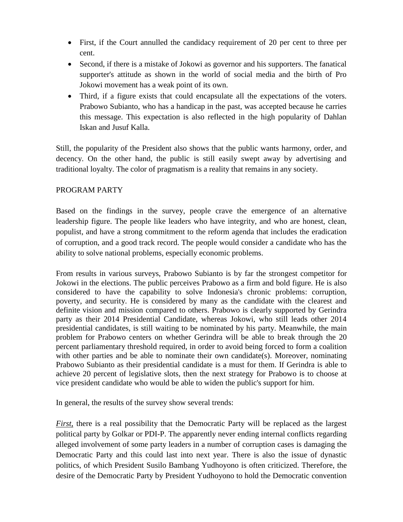- First, if the Court annulled the candidacy requirement of 20 per cent to three per cent.
- Second, if there is a mistake of Jokowi as governor and his supporters. The fanatical supporter's attitude as shown in the world of social media and the birth of Pro Jokowi movement has a weak point of its own.
- Third, if a figure exists that could encapsulate all the expectations of the voters. Prabowo Subianto, who has a handicap in the past, was accepted because he carries this message. This expectation is also reflected in the high popularity of Dahlan Iskan and Jusuf Kalla.

Still, the popularity of the President also shows that the public wants harmony, order, and decency. On the other hand, the public is still easily swept away by advertising and traditional loyalty. The color of pragmatism is a reality that remains in any society.

## PROGRAM PARTY

Based on the findings in the survey, people crave the emergence of an alternative leadership figure. The people like leaders who have integrity, and who are honest, clean, populist, and have a strong commitment to the reform agenda that includes the eradication of corruption, and a good track record. The people would consider a candidate who has the ability to solve national problems, especially economic problems.

From results in various surveys, Prabowo Subianto is by far the strongest competitor for Jokowi in the elections. The public perceives Prabowo as a firm and bold figure. He is also considered to have the capability to solve Indonesia's chronic problems: corruption, poverty, and security. He is considered by many as the candidate with the clearest and definite vision and mission compared to others. Prabowo is clearly supported by Gerindra party as their 2014 Presidential Candidate, whereas Jokowi, who still leads other 2014 presidential candidates, is still waiting to be nominated by his party. Meanwhile, the main problem for Prabowo centers on whether Gerindra will be able to break through the 20 percent parliamentary threshold required, in order to avoid being forced to form a coalition with other parties and be able to nominate their own candidate(s). Moreover, nominating Prabowo Subianto as their presidential candidate is a must for them. If Gerindra is able to achieve 20 percent of legislative slots, then the next strategy for Prabowo is to choose at vice president candidate who would be able to widen the public's support for him.

In general, the results of the survey show several trends:

*First*, there is a real possibility that the Democratic Party will be replaced as the largest political party by Golkar or PDI-P. The apparently never ending internal conflicts regarding alleged involvement of some party leaders in a number of corruption cases is damaging the Democratic Party and this could last into next year. There is also the issue of dynastic politics, of which President Susilo Bambang Yudhoyono is often criticized. Therefore, the desire of the Democratic Party by President Yudhoyono to hold the Democratic convention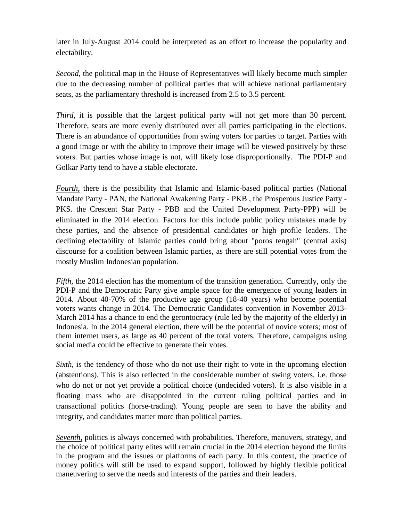later in July-August 2014 could be interpreted as an effort to increase the popularity and electability.

*Second,* the political map in the House of Representatives will likely become much simpler due to the decreasing number of political parties that will achieve national parliamentary seats, as the parliamentary threshold is increased from 2.5 to 3.5 percent.

*Third*, it is possible that the largest political party will not get more than 30 percent. Therefore, seats are more evenly distributed over all parties participating in the elections. There is an abundance of opportunities from swing voters for parties to target. Parties with a good image or with the ability to improve their image will be viewed positively by these voters. But parties whose image is not, will likely lose disproportionally. The PDI-P and Golkar Party tend to have a stable electorate.

*Fourth,* there is the possibility that Islamic and Islamic-based political parties (National Mandate Party - PAN, the National Awakening Party - PKB , the Prosperous Justice Party - PKS. the Crescent Star Party - PBB and the United Development Party-PPP) will be eliminated in the 2014 election. Factors for this include public policy mistakes made by these parties, and the absence of presidential candidates or high profile leaders. The declining electability of Islamic parties could bring about "poros tengah" (central axis) discourse for a coalition between Islamic parties, as there are still potential votes from the mostly Muslim Indonesian population.

*Fifth*, the 2014 election has the momentum of the transition generation. Currently, only the PDI-P and the Democratic Party give ample space for the emergence of young leaders in 2014. About 40-70% of the productive age group (18-40 years) who become potential voters wants change in 2014. The Democratic Candidates convention in November 2013- March 2014 has a chance to end the gerontocracy (rule led by the majority of the elderly) in Indonesia. In the 2014 general election, there will be the potential of novice voters; most of them internet users, as large as 40 percent of the total voters. Therefore, campaigns using social media could be effective to generate their votes.

*Sixth*, is the tendency of those who do not use their right to vote in the upcoming election (abstentions). This is also reflected in the considerable number of swing voters, i.e. those who do not or not yet provide a political choice (undecided voters). It is also visible in a floating mass who are disappointed in the current ruling political parties and in transactional politics (horse-trading). Young people are seen to have the ability and integrity, and candidates matter more than political parties.

*Seventh,* politics is always concerned with probabilities. Therefore, manuvers, strategy, and the choice of political party elites will remain crucial in the 2014 election beyond the limits in the program and the issues or platforms of each party. In this context, the practice of money politics will still be used to expand support, followed by highly flexible political maneuvering to serve the needs and interests of the parties and their leaders.